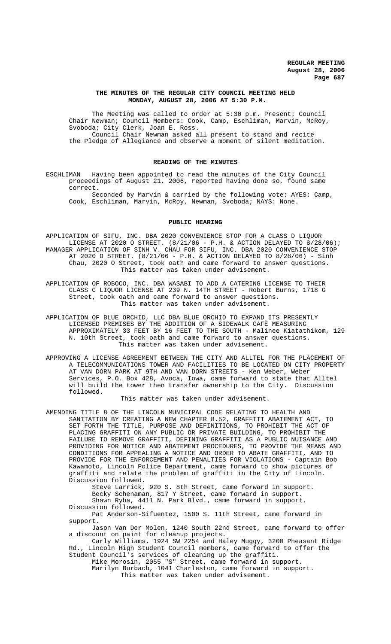#### **THE MINUTES OF THE REGULAR CITY COUNCIL MEETING HELD MONDAY, AUGUST 28, 2006 AT 5:30 P.M.**

The Meeting was called to order at 5:30 p.m. Present: Council Chair Newman; Council Members: Cook, Camp, Eschliman, Marvin, McRoy, Svoboda; City Clerk, Joan E. Ross. Council Chair Newman asked all present to stand and recite the Pledge of Allegiance and observe a moment of silent meditation.

## **READING OF THE MINUTES**

ESCHLIMAN Having been appointed to read the minutes of the City Council proceedings of August 21, 2006, reported having done so, found same correct.

Seconded by Marvin & carried by the following vote: AYES: Camp, Cook, Eschliman, Marvin, McRoy, Newman, Svoboda; NAYS: None.

#### **PUBLIC HEARING**

APPLICATION OF SIFU, INC. DBA 2020 CONVENIENCE STOP FOR A CLASS D LIQUOR LICENSE AT 2020 O STREET.  $(8/21/06 - P.H. 6$  ACTION DELAYED TO  $8/28/06$ ; MANAGER APPLICATION OF SINH V. CHAU FOR SIFU, INC. DBA 2020 CONVENIENCE STOP AT 2020 O STREET. (8/21/06 - P.H. & ACTION DELAYED TO 8/28/06) - Sinh Chau, 2020 O Street, took oath and came forward to answer questions. This matter was taken under advisement.

APPLICATION OF ROBOCO, INC. DBA WASABI TO ADD A CATERING LICENSE TO THEIR CLASS C LIQUOR LICENSE AT 239 N. 14TH STREET - Robert Burns, 1718 G Street, took oath and came forward to answer questions. This matter was taken under advisement.

APPLICATION OF BLUE ORCHID, LLC DBA BLUE ORCHID TO EXPAND ITS PRESENTLY LICENSED PREMISES BY THE ADDITION OF A SIDEWALK CAFÉ MEASURING APPROXIMATELY 33 FEET BY 16 FEET TO THE SOUTH - Malinee Kiatathikom, 129 N. 10th Street, took oath and came forward to answer questions. This matter was taken under advisement.

APPROVING A LICENSE AGREEMENT BETWEEN THE CITY AND ALLTEL FOR THE PLACEMENT OF A TELECOMMUNICATIONS TOWER AND FACILITIES TO BE LOCATED ON CITY PROPERTY AT VAN DORN PARK AT 9TH AND VAN DORN STREETS - Ken Weber, Weber Services, P.O. Box 428, Avoca, Iowa, came forward to state that Alltel will build the tower then transfer ownership to the City. Discussion followed.

This matter was taken under advisement.

AMENDING TITLE 8 OF THE LINCOLN MUNICIPAL CODE RELATING TO HEALTH AND SANITATION BY CREATING A NEW CHAPTER 8.52, GRAFFITI ABATEMENT ACT, TO SET FORTH THE TITLE, PURPOSE AND DEFINITIONS, TO PROHIBIT THE ACT OF PLACING GRAFFITI ON ANY PUBLIC OR PRIVATE BUILDING, TO PROHIBIT THE FAILURE TO REMOVE GRAFFITI, DEFINING GRAFFITI AS A PUBLIC NUISANCE AND PROVIDING FOR NOTICE AND ABATEMENT PROCEDURES, TO PROVIDE THE MEANS AND CONDITIONS FOR APPEALING A NOTICE AND ORDER TO ABATE GRAFFITI, AND TO PROVIDE FOR THE ENFORCEMENT AND PENALTIES FOR VIOLATIONS - Captain Bob Kawamoto, Lincoln Police Department, came forward to show pictures of graffiti and relate the problem of graffiti in the City of Lincoln. Discussion followed.

> Steve Larrick, 920 S. 8th Street, came forward in support. Becky Schenaman, 817 Y Street, came forward in support.

Shawn Ryba, 4411 N. Park Blvd., came forward in support. Discussion followed.

Pat Anderson-Sifuentez, 1500 S. 11th Street, came forward in support.

Jason Van Der Molen, 1240 South 22nd Street, came forward to offer a discount on paint for cleanup projects.

Carly Williams. 1924 SW 2254 and Haley Muggy, 3200 Pheasant Ridge Rd., Lincoln High Student Council members, came forward to offer the Student Council's services of cleaning up the graffiti.

Mike Morosin, 2055 "S" Street, came forward in support. Marilyn Burbach, 1041 Charleston, came forward in support.

This matter was taken under advisement.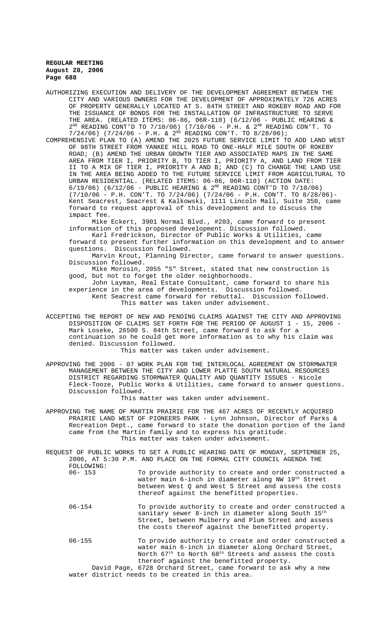- AUTHORIZING EXECUTION AND DELIVERY OF THE DEVELOPMENT AGREEMENT BETWEEN THE CITY AND VARIOUS OWNERS FOR THE DEVELOPMENT OF APPROXIMATELY 726 ACRES OF PROPERTY GENERALLY LOCATED AT S. 84TH STREET AND ROKEBY ROAD AND FOR THE ISSUANCE OF BONDS FOR THE INSTALLATION OF INFRASTRUCTURE TO SERVE THE AREA. (RELATED ITEMS: 06-86, 06R-110) (6/12/06 - PUBLIC HEARING &  $2^{ND}$  READING CONT'D TO 7/10/06) (7/10/06 - P.H. &  $2^{ND}$  READING CON'T. TO  $7/24/06$ ) (7/24/06 - P.H. & 2<sup>ND</sup> READING CON'T. TO 8/28/06);
- COMPREHENSIVE PLAN TO (A) AMEND THE 2025 FUTURE SERVICE LIMIT TO ADD LAND WEST OF 98TH STREET FROM YANKEE HILL ROAD TO ONE-HALF MILE SOUTH OF ROKEBY ROAD; (B) AMEND THE URBAN GROWTH TIER AND ASSOCIATED MAPS IN THE SAME AREA FROM TIER I, PRIORITY B, TO TIER I, PRIORITY A, AND LAND FROM TIER II TO A MIX OF TIER I, PRIORITY A AND B; AND (C) TO CHANGE THE LAND USE IN THE AREA BEING ADDED TO THE FUTURE SERVICE LIMIT FROM AGRICULTURAL TO URBAN RESIDENTIAL. (RELATED ITEMS: 06-86, 06R-110) (ACTION DATE:  $6/19/06$ ) ( $6/12/06$  - PUBLIC HEARING &  $2^{ND}$  READING CONT'D TO 7/10/06) (7/10/06 - P.H. CON'T. TO 7/24/06) (7/24/06 - P.H. CON'T. TO 8/28/06)- Kent Seacrest, Seacrest & Kalkowski, 1111 Lincoln Mall, Suite 350, came forward to request approval of this development and to discuss the impact fee.

Mike Eckert, 3901 Normal Blvd., #203, came forward to present information of this proposed development. Discussion followed.

Karl Fredrickson, Director of Public Works & Utilities, came forward to present further information on this development and to answer Discussion followed.

Marvin Krout, Planning Director, came forward to answer questions. Discussion followed.

Mike Morosin, 2055 "S" Street, stated that new construction is good, but not to forget the older neighborhoods.

John Layman, Real Estate Consultant, came forward to share his experience in the area of developments. Discussion followed. Kent Seacrest came forward for rebuttal. Discussion followed. This matter was taken under advisement.

ACCEPTING THE REPORT OF NEW AND PENDING CLAIMS AGAINST THE CITY AND APPROVING DISPOSITION OF CLAIMS SET FORTH FOR THE PERIOD OF AUGUST 1 - 15, 2006 - Mark Loseke, 26500 S. 84th Street, came forward to ask for a continuation so he could get more information as to why his claim was denied. Discussion followed.

This matter was taken under advisement.

APPROVING THE 2006 - 07 WORK PLAN FOR THE INTERLOCAL AGREEMENT ON STORMWATER MANAGEMENT BETWEEN THE CITY AND LOWER PLATTE SOUTH NATURAL RESOURCES DISTRICT REGARDING STORMWATER QUALITY AND QUANTITY ISSUES - Nicole Fleck-Tooze, Public Works & Utilities, came forward to answer questions. Discussion followed.

This matter was taken under advisement.

- APPROVING THE NAME OF MARTIN PRAIRIE FOR THE 467 ACRES OF RECENTLY ACQUIRED PRAIRIE LAND WEST OF PIONEERS PARK - Lynn Johnson, Director of Parks & Recreation Dept., came forward to state the donation portion of the land came from the Martin family and to express his gratitude. This matter was taken under advisement.
- REQUEST OF PUBLIC WORKS TO SET A PUBLIC HEARING DATE OF MONDAY, SEPTEMBER 25, 2006, AT 5:30 P.M. AND PLACE ON THE FORMAL CITY COUNCIL AGENDA THE FOLLOWING:<br>06- 153 To provide authority to create and order constructed a

water main 6-inch in diameter along NW 19th Street between West Q and West S Street and assess the costs thereof against the benefitted properties.

- 06-154 To provide authority to create and order constructed a sanitary sewer 8-inch in diameter along South 15<sup>th</sup> Street, between Mulberry and Plum Street and assess the costs thereof against the benefitted property.
- 06-155 To provide authority to create and order constructed a water main 6-inch in diameter along Orchard Street, North 67<sup>th</sup> to North 68<sup>th</sup> Streets and assess the costs thereof against the benefitted property. David Page, 6728 Orchard Street, came forward to ask why a new water district needs to be created in this area.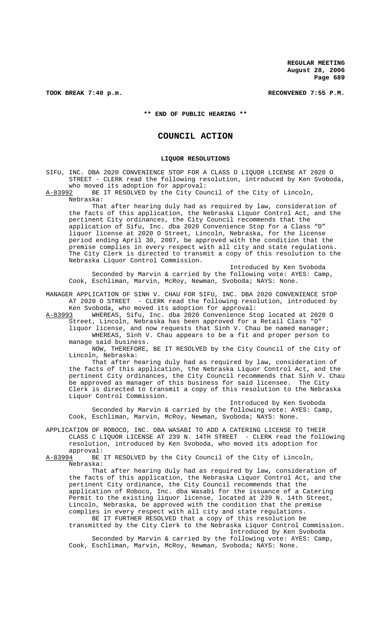TOOK BREAK 7:40 p.m. **RECONVENED 7:55 P.M.** 

**\*\* END OF PUBLIC HEARING \*\***

# **COUNCIL ACTION**

#### **LIQUOR RESOLUTIONS**

SIFU, INC. DBA 2020 CONVENIENCE STOP FOR A CLASS D LIQUOR LICENSE AT 2020 O STREET - CLERK read the following resolution, introduced by Ken Svoboda, who moved its adoption for approval:<br>A-83992 BE IT RESOLVED by the City Cou

BE IT RESOLVED by the City Council of the City of Lincoln, Nebraska:

That after hearing duly had as required by law, consideration of the facts of this application, the Nebraska Liquor Control Act, and the pertinent City ordinances, the City Council recommends that the application of Sifu, Inc. dba 2020 Convenience Stop for a Class "D" liquor license at 2020 O Street, Lincoln, Nebraska, for the license period ending April 30, 2007, be approved with the condition that the premise complies in every respect with all city and state regulations. The City Clerk is directed to transmit a copy of this resolution to the Nebraska Liquor Control Commission.

Introduced by Ken Svoboda Seconded by Marvin & carried by the following vote: AYES: Camp, Cook, Eschliman, Marvin, McRoy, Newman, Svoboda; NAYS: None.

MANAGER APPLICATION OF SINH V. CHAU FOR SIFU, INC. DBA 2020 CONVENIENCE STOP AT 2020 O STREET - CLERK read the following resolution, introduced by

Ken Svoboda, who moved its adoption for approval:<br>A-83993 WHEREAS, Sifu, Inc. dba 2020 Convenience St WHEREAS, Sifu, Inc. dba 2020 Convenience Stop located at 2020 O Street, Lincoln, Nebraska has been approved for a Retail Class "D"

liquor license, and now requests that Sinh V. Chau be named manager; WHEREAS, Sinh V. Chau appears to be a fit and proper person to manage said business.

NOW, THEREFORE, BE IT RESOLVED by the City Council of the City of Lincoln, Nebraska:

That after hearing duly had as required by law, consideration of the facts of this application, the Nebraska Liquor Control Act, and the pertinent City ordinances, the City Council recommends that Sinh V. Chau be approved as manager of this business for said licensee. The City Clerk is directed to transmit a copy of this resolution to the Nebraska Liquor Control Commission.

Introduced by Ken Svoboda Seconded by Marvin & carried by the following vote: AYES: Camp, Cook, Eschliman, Marvin, McRoy, Newman, Svoboda; NAYS: None.

APPLICATION OF ROBOCO, INC. DBA WASABI TO ADD A CATERING LICENSE TO THEIR CLASS C LIQUOR LICENSE AT 239 N. 14TH STREET - CLERK read the following resolution, introduced by Ken Svoboda, who moved its adoption for

approval:<br>A-83994 BE BE IT RESOLVED by the City Council of the City of Lincoln, Nebraska:

That after hearing duly had as required by law, consideration of the facts of this application, the Nebraska Liquor Control Act, and the pertinent City ordinance, the City Council recommends that the application of Roboco, Inc. dba Wasabi for the issuance of a Catering Permit to the existing liquor license, located at 239 N. 14th Street, Lincoln, Nebraska, be approved with the condition that the premise complies in every respect with all city and state regulations.

BE IT FURTHER RESOLVED that a copy of this resolution be transmitted by the City Clerk to the Nebraska Liquor Control Commission. Introduced by Ken Svoboda Seconded by Marvin & carried by the following vote: AYES: Camp,

Cook, Eschliman, Marvin, McRoy, Newman, Svoboda; NAYS: None.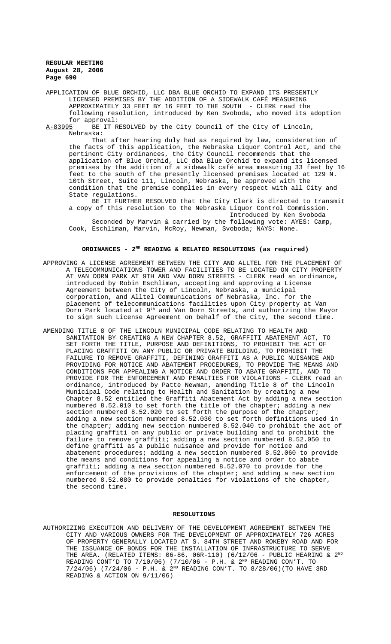APPLICATION OF BLUE ORCHID, LLC DBA BLUE ORCHID TO EXPAND ITS PRESENTLY LICENSED PREMISES BY THE ADDITION OF A SIDEWALK CAFÉ MEASURING APPROXIMATELY 33 FEET BY 16 FEET TO THE SOUTH - CLERK read the following resolution, introduced by Ken Svoboda, who moved its adoption

for approval:<br><u>A-83995</u> BE IT R BE IT RESOLVED by the City Council of the City of Lincoln, Nebraska:

That after hearing duly had as required by law, consideration of the facts of this application, the Nebraska Liquor Control Act, and the pertinent City ordinances, the City Council recommends that the application of Blue Orchid, LLC dba Blue Orchid to expand its licensed premises by the addition of a sidewalk café area measuring 33 feet by 16 feet to the south of the presently licensed premises located at 129 N. 10th Street, Suite 111, Lincoln, Nebraska, be approved with the condition that the premise complies in every respect with all City and State regulations.

BE IT FURTHER RESOLVED that the City Clerk is directed to transmit a copy of this resolution to the Nebraska Liquor Control Commission. Introduced by Ken Svoboda

Seconded by Marvin & carried by the following vote: AYES: Camp, Cook, Eschliman, Marvin, McRoy, Newman, Svoboda; NAYS: None.

# **ORDINANCES - 2ND READING & RELATED RESOLUTIONS (as required)**

- APPROVING A LICENSE AGREEMENT BETWEEN THE CITY AND ALLTEL FOR THE PLACEMENT OF A TELECOMMUNICATIONS TOWER AND FACILITIES TO BE LOCATED ON CITY PROPERTY AT VAN DORN PARK AT 9TH AND VAN DORN STREETS - CLERK read an ordinance, introduced by Robin Eschliman, accepting and approving a License Agreement between the City of Lincoln, Nebraska, a municipal corporation, and Alltel Communications of Nebraska, Inc. for the placement of telecommunications facilities upon City property at Van Dorn Park located at 9th and Van Dorn Streets, and authorizing the Mayor to sign such License Agreement on behalf of the City, the second time.
- AMENDING TITLE 8 OF THE LINCOLN MUNICIPAL CODE RELATING TO HEALTH AND SANITATION BY CREATING A NEW CHAPTER 8.52, GRAFFITI ABATEMENT ACT, TO SET FORTH THE TITLE, PURPOSE AND DEFINITIONS, TO PROHIBIT THE ACT OF PLACING GRAFFITI ON ANY PUBLIC OR PRIVATE BUILDING, TO PROHIBIT THE FAILURE TO REMOVE GRAFFITI, DEFINING GRAFFITI AS A PUBLIC NUISANCE AND PROVIDING FOR NOTICE AND ABATEMENT PROCEDURES, TO PROVIDE THE MEANS AND CONDITIONS FOR APPEALING A NOTICE AND ORDER TO ABATE GRAFFITI, AND TO PROVIDE FOR THE ENFORCEMENT AND PENALTIES FOR VIOLATIONS - CLERK read an ordinance, introduced by Patte Newman, amending Title 8 of the Lincoln Municipal Code relating to Health and Sanitation by creating a new Chapter 8.52 entitled the Graffiti Abatement Act by adding a new section numbered 8.52.010 to set forth the title of the chapter; adding a new section numbered 8.52.020 to set forth the purpose of the chapter; adding a new section numbered 8.52.030 to set forth definitions used in the chapter; adding new section numbered 8.52.040 to prohibit the act of placing graffiti on any public or private building and to prohibit the failure to remove graffiti; adding a new section numbered 8.52.050 to define graffiti as a public nuisance and provide for notice and abatement procedures; adding a new section numbered 8.52.060 to provide the means and conditions for appealing a notice and order to abate graffiti; adding a new section numbered 8.52.070 to provide for the enforcement of the provisions of the chapter; and adding a new section numbered 8.52.080 to provide penalties for violations of the chapter, the second time.

#### **RESOLUTIONS**

AUTHORIZING EXECUTION AND DELIVERY OF THE DEVELOPMENT AGREEMENT BETWEEN THE CITY AND VARIOUS OWNERS FOR THE DEVELOPMENT OF APPROXIMATELY 726 ACRES OF PROPERTY GENERALLY LOCATED AT S. 84TH STREET AND ROKEBY ROAD AND FOR THE ISSUANCE OF BONDS FOR THE INSTALLATION OF INFRASTRUCTURE TO SERVE THE AREA. (RELATED ITEMS:  $06-86$ ,  $06R-110$ ) ( $6/12/06$  - PUBLIC HEARING &  $2^{ND}$ READING CONT'D TO  $7/10/06$ ) (7/10/06 - P.H. &  $2^{ND}$  READING CON'T. TO  $7/24/06$ ) (7/24/06 - P.H. & 2<sup>ND</sup> READING CON'T. TO 8/28/06)(TO HAVE 3RD READING & ACTION ON 9/11/06)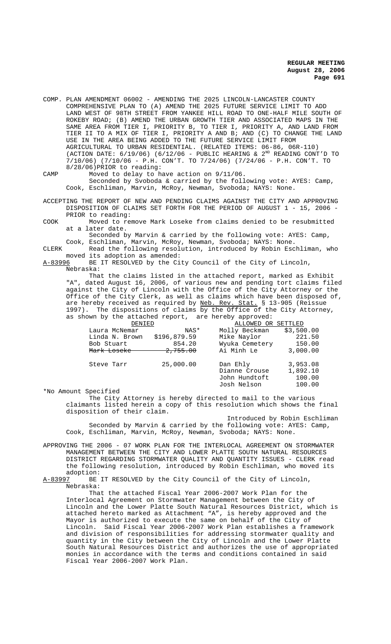- COMP. PLAN AMENDMENT 06002 AMENDING THE 2025 LINCOLN-LANCASTER COUNTY COMPREHENSIVE PLAN TO (A) AMEND THE 2025 FUTURE SERVICE LIMIT TO ADD LAND WEST OF 98TH STREET FROM YANKEE HILL ROAD TO ONE-HALF MILE SOUTH OF ROKEBY ROAD; (B) AMEND THE URBAN GROWTH TIER AND ASSOCIATED MAPS IN THE SAME AREA FROM TIER I, PRIORITY B, TO TIER I, PRIORITY A, AND LAND FROM TIER II TO A MIX OF TIER I, PRIORITY A AND B; AND (C) TO CHANGE THE LAND USE IN THE AREA BEING ADDED TO THE FUTURE SERVICE LIMIT FROM AGRICULTURAL TO URBAN RESIDENTIAL. (RELATED ITEMS: 06-86, 06R-110) (ACTION DATE:  $6/19/06$ ) ( $6/12/06$  - PUBLIC HEARING &  $2^{ND}$  READING CONT'D TO 7/10/06) (7/10/06 - P.H. CON'T. TO 7/24/06) (7/24/06 - P.H. CON'T. TO 8/28/06)PRIOR to reading:
- CAMP Moved to delay to have action on 9/11/06. Seconded by Svoboda & carried by the following vote: AYES: Camp, Cook, Eschliman, Marvin, McRoy, Newman, Svoboda; NAYS: None.

ACCEPTING THE REPORT OF NEW AND PENDING CLAIMS AGAINST THE CITY AND APPROVING DISPOSITION OF CLAIMS SET FORTH FOR THE PERIOD OF AUGUST 1 - 15, 2006 - PRIOR to reading:

COOK Moved to remove Mark Loseke from claims denied to be resubmitted at a later date.

Seconded by Marvin & carried by the following vote: AYES: Camp, Cook, Eschliman, Marvin, McRoy, Newman, Svoboda; NAYS: None.

CLERK Read the following resolution, introduced by Robin Eschliman, who moved its adoption as amended:<br>A-83996 BE IT RESOLVED by the Ci

BE IT RESOLVED by the City Council of the City of Lincoln, Nebraska:

That the claims listed in the attached report, marked as Exhibit "A", dated August 16, 2006, of various new and pending tort claims filed against the City of Lincoln with the Office of the City Attorney or the Office of the City Clerk, as well as claims which have been disposed of, are hereby received as required by Neb. Rev. Stat. § 13-905 (Reissue 1997). The dispositions of claims by the Office of the City Attorney, as shown by the attached report, are hereby approved:

| DENIED         |                     | ALLOWED OR SETTLED                                        |                                          |
|----------------|---------------------|-----------------------------------------------------------|------------------------------------------|
| Laura McNemar  | NAS*                | Molly Beckman                                             | \$3,500.00                               |
| Linda N. Brown | \$196,879.59        | Mike Naylor                                               | 221.50                                   |
| Bob Stuart     | 854.20              | Wyuka Cemetery                                            | 150.00                                   |
| Mark Loseke    | <del>2,755.00</del> | Ai Minh Le                                                | 3,000.00                                 |
| Steve Tarr     | 25,000.00           | Dan Ehly<br>Dianne Crouse<br>John Hundtoft<br>Josh Nelson | 3,953.08<br>1,892.10<br>100.00<br>100.00 |

\*No Amount Specified

The City Attorney is hereby directed to mail to the various claimants listed herein a copy of this resolution which shows the final disposition of their claim.

Introduced by Robin Eschliman Seconded by Marvin & carried by the following vote: AYES: Camp, Cook, Eschliman, Marvin, McRoy, Newman, Svoboda; NAYS: None.

APPROVING THE 2006 - 07 WORK PLAN FOR THE INTERLOCAL AGREEMENT ON STORMWATER MANAGEMENT BETWEEN THE CITY AND LOWER PLATTE SOUTH NATURAL RESOURCES DISTRICT REGARDING STORMWATER QUALITY AND QUANTITY ISSUES - CLERK read the following resolution, introduced by Robin Eschliman, who moved its adoption:<br><u>A-83997</u> BE

BE IT RESOLVED by the City Council of the City of Lincoln, Nebraska:

That the attached Fiscal Year 2006-2007 Work Plan for the Interlocal Agreement on Stormwater Management between the City of Lincoln and the Lower Platte South Natural Resources District, which is attached hereto marked as Attachment "A", is hereby approved and the Mayor is authorized to execute the same on behalf of the City of Lincoln. Said Fiscal Year 2006-2007 Work Plan establishes a framework and division of responsibilities for addressing stormwater quality and quantity in the City between the City of Lincoln and the Lower Platte South Natural Resources District and authorizes the use of appropriated monies in accordance with the terms and conditions contained in said Fiscal Year 2006-2007 Work Plan.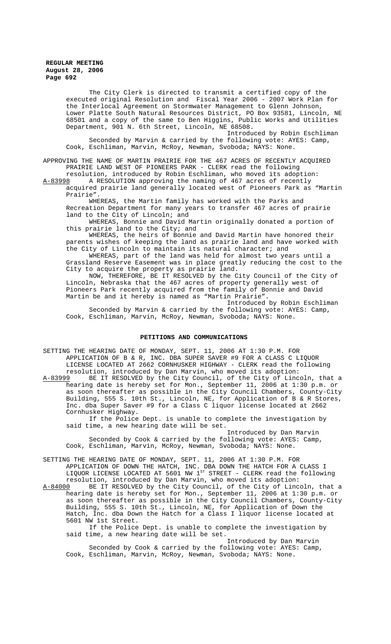The City Clerk is directed to transmit a certified copy of the executed original Resolution and Fiscal Year 2006 - 2007 Work Plan for the Interlocal Agreement on Stormwater Management to Glenn Johnson, Lower Platte South Natural Resources District, PO Box 93581, Lincoln, NE 68501 and a copy of the same to Ben Higgins, Public Works and Utilities Department, 901 N. 6th Street, Lincoln, NE 68508.

Introduced by Robin Eschliman Seconded by Marvin & carried by the following vote: AYES: Camp, Cook, Eschliman, Marvin, McRoy, Newman, Svoboda; NAYS: None.

APPROVING THE NAME OF MARTIN PRAIRIE FOR THE 467 ACRES OF RECENTLY ACQUIRED PRAIRIE LAND WEST OF PIONEERS PARK - CLERK read the following

resolution, introduced by Robin Eschliman, who moved its adoption:

A-83998 A RESOLUTION approving the naming of 467 acres of recently acquired prairie land generally located west of Pioneers Park as "Martin Prairie".

WHEREAS, the Martin family has worked with the Parks and Recreation Department for many years to transfer 467 acres of prairie land to the City of Lincoln; and

WHEREAS, Bonnie and David Martin originally donated a portion of this prairie land to the City; and

WHEREAS, the heirs of Bonnie and David Martin have honored their parents wishes of keeping the land as prairie land and have worked with the City of Lincoln to maintain its natural character; and

WHEREAS, part of the land was held for almost two years until a Grassland Reserve Easement was in place greatly reducing the cost to the City to acquire the property as prairie land.

NOW, THEREFORE, BE IT RESOLVED by the City Council of the City of Lincoln, Nebraska that the 467 acres of property generally west of Pioneers Park recently acquired from the family of Bonnie and David Martin be and it hereby is named as "Martin Prairie". Introduced by Robin Eschliman

Seconded by Marvin & carried by the following vote: AYES: Camp, Cook, Eschliman, Marvin, McRoy, Newman, Svoboda; NAYS: None.

### **PETITIONS AND COMMUNICATIONS**

SETTING THE HEARING DATE OF MONDAY, SEPT. 11, 2006 AT 1:30 P.M. FOR APPLICATION OF B & R, INC. DBA SUPER SAVER #9 FOR A CLASS C LIQUOR LICENSE LOCATED AT 2662 CORNHUSKER HIGHWAY - CLERK read the following resolution, introduced by Dan Marvin, who moved its adoption:<br>A-83999 BE IT RESOLVED by the City Council, of the City of Linc BE IT RESOLVED by the City Council, of the City of Lincoln, that a hearing date is hereby set for Mon., September 11, 2006 at 1:30 p.m. or as soon thereafter as possible in the City Council Chambers, County-City Building, 555 S. 10th St., Lincoln, NE, for Application of B & R Stores, Inc. dba Super Saver #9 for a Class C liquor license located at 2662 Cornhusker Highway.

If the Police Dept. is unable to complete the investigation by said time, a new hearing date will be set.

Introduced by Dan Marvin Seconded by Cook & carried by the following vote: AYES: Camp, Cook, Eschliman, Marvin, McRoy, Newman, Svoboda; NAYS: None.

SETTING THE HEARING DATE OF MONDAY, SEPT. 11, 2006 AT 1:30 P.M. FOR APPLICATION OF DOWN THE HATCH, INC. DBA DOWN THE HATCH FOR A CLASS I LIQUOR LICENSE LOCATED AT 5601 NW 1st STREET - CLERK read the following resolution, introduced by Dan Marvin, who moved its adoption:

A-84000 BE IT RESOLVED by the City Council, of the City of Lincoln, that a hearing date is hereby set for Mon., September 11, 2006 at 1:30 p.m. or as soon thereafter as possible in the City Council Chambers, County-City Building, 555 S. 10th St., Lincoln, NE, for Application of Down the Hatch, Inc. dba Down the Hatch for a Class I liquor license located at 5601 NW 1st Street.

If the Police Dept. is unable to complete the investigation by said time, a new hearing date will be set.

Introduced by Dan Marvin Seconded by Cook & carried by the following vote: AYES: Camp, Cook, Eschliman, Marvin, McRoy, Newman, Svoboda; NAYS: None.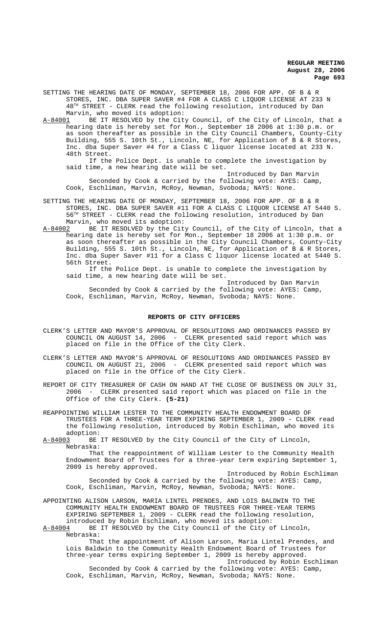SETTING THE HEARING DATE OF MONDAY, SEPTEMBER 18, 2006 FOR APP. OF B & R STORES, INC. DBA SUPER SAVER #4 FOR A CLASS C LIQUOR LICENSE AT 233 N  $48<sup>TH</sup>$  STREET - CLERK read the following resolution, introduced by Dan

Marvin, who moved its adoption:<br>A-84001 BE IT RESOLVED by the Cit BE IT RESOLVED by the City Council, of the City of Lincoln, that a hearing date is hereby set for Mon., September 18 2006 at 1:30 p.m. or as soon thereafter as possible in the City Council Chambers, County-City Building, 555 S. 10th St., Lincoln, NE, for Application of B & R Stores, Inc. dba Super Saver #4 for a Class C liquor license located at 233 N. 48th Street.

If the Police Dept. is unable to complete the investigation by said time, a new hearing date will be set.

Introduced by Dan Marvin Seconded by Cook & carried by the following vote: AYES: Camp, Cook, Eschliman, Marvin, McRoy, Newman, Svoboda; NAYS: None.

SETTING THE HEARING DATE OF MONDAY, SEPTEMBER 18, 2006 FOR APP. OF B & R STORES, INC. DBA SUPER SAVER #11 FOR A CLASS C LIQUOR LICENSE AT 5440 S. 56TH STREET - CLERK read the following resolution, introduced by Dan Marvin, who moved its adoption:

A-84002 BE IT RESOLVED by the City Council, of the City of Lincoln, that a hearing date is hereby set for Mon., September 18 2006 at 1:30 p.m. or as soon thereafter as possible in the City Council Chambers, County-City Building, 555 S. 10th St., Lincoln, NE, for Application of B & R Stores, Inc. dba Super Saver #11 for a Class C liquor license located at 5440 S. 56th Street.

If the Police Dept. is unable to complete the investigation by said time, a new hearing date will be set.

Introduced by Dan Marvin Seconded by Cook & carried by the following vote: AYES: Camp, Cook, Eschliman, Marvin, McRoy, Newman, Svoboda; NAYS: None.

#### **REPORTS OF CITY OFFICERS**

- CLERK'S LETTER AND MAYOR'S APPROVAL OF RESOLUTIONS AND ORDINANCES PASSED BY COUNCIL ON AUGUST 14, 2006 - CLERK presented said report which was placed on file in the Office of the City Clerk.
- CLERK'S LETTER AND MAYOR'S APPROVAL OF RESOLUTIONS AND ORDINANCES PASSED BY COUNCIL ON AUGUST 21, 2006 - CLERK presented said report which was placed on file in the Office of the City Clerk.
- REPORT OF CITY TREASURER OF CASH ON HAND AT THE CLOSE OF BUSINESS ON JULY 31, 2006 - CLERK presented said report which was placed on file in the Office of the City Clerk. **(5-21)**

REAPPOINTING WILLIAM LESTER TO THE COMMUNITY HEALTH ENDOWMENT BOARD OF TRUSTEES FOR A THREE-YEAR TERM EXPIRING SEPTEMBER 1, 2009 - CLERK read the following resolution, introduced by Robin Eschliman, who moved its

adoption:<br>A-84003 BE BE IT RESOLVED by the City Council of the City of Lincoln, Nebraska:

That the reappointment of William Lester to the Community Health Endowment Board of Trustees for a three-year term expiring September 1, 2009 is hereby approved.

Introduced by Robin Eschliman Seconded by Cook & carried by the following vote: AYES: Camp, Cook, Eschliman, Marvin, McRoy, Newman, Svoboda; NAYS: None.

APPOINTING ALISON LARSON, MARIA LINTEL PRENDES, AND LOIS BALDWIN TO THE COMMUNITY HEALTH ENDOWMENT BOARD OF TRUSTEES FOR THREE-YEAR TERMS EXPIRING SEPTEMBER 1, 2009 - CLERK read the following resolution, introduced by Robin Eschliman, who moved its adoption:<br>A-84004 BE IT RESOLVED by the City Council of the City o

BE IT RESOLVED by the City Council of the City of Lincoln, Nebraska:

That the appointment of Alison Larson, Maria Lintel Prendes, and Lois Baldwin to the Community Health Endowment Board of Trustees for three-year terms expiring September 1, 2009 is hereby approved. Introduced by Robin Eschliman

Seconded by Cook & carried by the following vote: AYES: Camp, Cook, Eschliman, Marvin, McRoy, Newman, Svoboda; NAYS: None.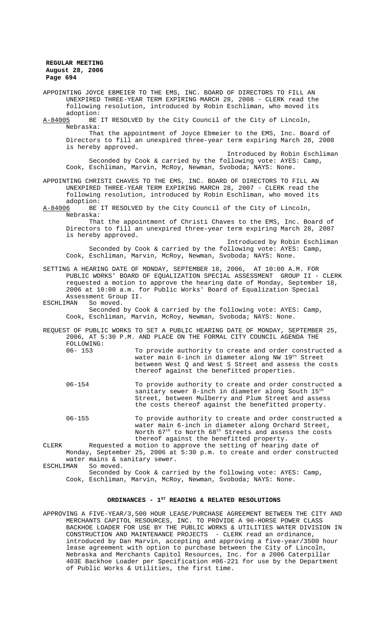APPOINTING JOYCE EBMEIER TO THE EMS, INC. BOARD OF DIRECTORS TO FILL AN UNEXPIRED THREE-YEAR TERM EXPIRING MARCH 28, 2008 - CLERK read the following resolution, introduced by Robin Eschliman, who moved its adoption:<br>A-84005 BE BE IT RESOLVED by the City Council of the City of Lincoln, Nebraska: That the appointment of Joyce Ebmeier to the EMS, Inc. Board of Directors to fill an unexpired three-year term expiring March 28, 2008 is hereby approved. Introduced by Robin Eschliman Seconded by Cook & carried by the following vote: AYES: Camp, Cook, Eschliman, Marvin, McRoy, Newman, Svoboda; NAYS: None. APPOINTING CHRISTI CHAVES TO THE EMS, INC. BOARD OF DIRECTORS TO FILL AN UNEXPIRED THREE-YEAR TERM EXPIRING MARCH 28, 2007 - CLERK read the following resolution, introduced by Robin Eschliman, who moved its adoption:<br><u>A-84006</u> BE BE IT RESOLVED by the City Council of the City of Lincoln, Nebraska: That the appointment of Christi Chaves to the EMS, Inc. Board of Directors to fill an unexpired three-year term expiring March 28, 2007 is hereby approved. Introduced by Robin Eschliman Seconded by Cook & carried by the following vote: AYES: Camp, Cook, Eschliman, Marvin, McRoy, Newman, Svoboda; NAYS: None. SETTING A HEARING DATE OF MONDAY, SEPTEMBER 18, 2006, AT 10:00 A.M. FOR PUBLIC WORKS' BOARD OF EQUALIZATION SPECIAL ASSESSMENT GROUP II - CLERK requested a motion to approve the hearing date of Monday, September 18, 2006 at 10:00 a.m. for Public Works' Board of Equalization Special Assessment Group II. ESCHLIMAN So moved. Seconded by Cook & carried by the following vote: AYES: Camp, Cook, Eschliman, Marvin, McRoy, Newman, Svoboda; NAYS: None. REQUEST OF PUBLIC WORKS TO SET A PUBLIC HEARING DATE OF MONDAY, SEPTEMBER 25, 2006, AT 5:30 P.M. AND PLACE ON THE FORMAL CITY COUNCIL AGENDA THE FOLLOWING:<br>06-153 To provide authority to create and order constructed a water main 6-inch in diameter along NW 19<sup>th</sup> Street between West Q and West S Street and assess the costs thereof against the benefitted properties. 06-154 To provide authority to create and order constructed a sanitary sewer 8-inch in diameter along South  $15<sup>t</sup>$ Street, between Mulberry and Plum Street and assess the costs thereof against the benefitted property. 06-155 To provide authority to create and order constructed a water main 6-inch in diameter along Orchard Street, North 67th to North 68th Streets and assess the costs thereof against the benefitted property. CLERK Requested a motion to approve the setting of hearing date of Monday, September 25, 2006 at 5:30 p.m. to create and order constructed water mains & sanitary sewer.<br>MAN So moved. ESCHLIMAN Seconded by Cook & carried by the following vote: AYES: Camp, Cook, Eschliman, Marvin, McRoy, Newman, Svoboda; NAYS: None.

# ORDINANCES - 1<sup>st</sup> READING & RELATED RESOLUTIONS

APPROVING A FIVE-YEAR/3,500 HOUR LEASE/PURCHASE AGREEMENT BETWEEN THE CITY AND MERCHANTS CAPITOL RESOURCES, INC. TO PROVIDE A 90-HORSE POWER CLASS BACKHOE LOADER FOR USE BY THE PUBLIC WORKS & UTILITIES WATER DIVISION IN CONSTRUCTION AND MAINTENANCE PROJECTS - CLERK read an ordinance, introduced by Dan Marvin, accepting and approving a five-year/3500 hour lease agreement with option to purchase between the City of Lincoln, Nebraska and Merchants Capitol Resources, Inc. for a 2006 Caterpillar 403E Backhoe Loader per Specification #06-221 for use by the Department of Public Works & Utilities, the first time.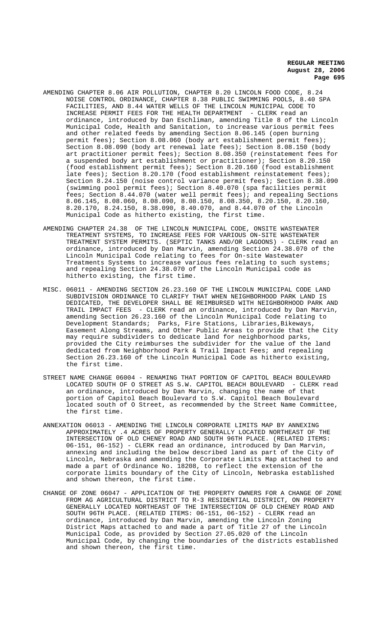- AMENDING CHAPTER 8.06 AIR POLLUTION, CHAPTER 8.20 LINCOLN FOOD CODE, 8.24 NOISE CONTROL ORDINANCE, CHAPTER 8.38 PUBLIC SWIMMING POOLS, 8.40 SPA FACILITIES, AND 8.44 WATER WELLS OF THE LINCOLN MUNICIPAL CODE TO INCREASE PERMIT FEES FOR THE HEALTH DEPARTMENT - CLERK read an ordinance, introduced by Dan Eschliman, amending Title 8 of the Lincoln Municipal Code, Health and Sanitation, to increase various permit fees and other related feeds by amending Section 8.06.145 (open burning permit fees); Section 8.08.060 (body art establishment permit fees); Section 8.08.090 (body art renewal late fees); Section 8.08.150 (body art practitioner permit fees); Section 8.08.350 (reinstatement fees for a suspended body art establishment or practitioner); Section 8.20.150 (food establishment permit fees); Section 8.20.160 (food establishment late fees); Section 8.20.170 (food establishment reinstatement fees); Section 8.24.150 (noise control variance permit fees); Section 8.38.090 (swimming pool permit fees); Section 8.40.070 (spa facilities permit fees; Section 8.44.070 (water well permit fees); and repealing Sections 8.06.145, 8.08.060, 8.08.090, 8.08.150, 8.08.350, 8.20.150, 8.20.160, 8.20.170, 8.24.150, 8.38.090, 8.40.070, and 8.44.070 of the Lincoln Municipal Code as hitherto existing, the first time.
- AMENDING CHAPTER 24.38 OF THE LINCOLN MUNICIPAL CODE, ONSITE WASTEWATER TREATMENT SYSTEMS, TO INCREASE FEES FOR VARIOUS ON-SITE WASTEWATER TREATMENT SYSTEM PERMITS. (SEPTIC TANKS AND/OR LAGOONS) - CLERK read an ordinance, introduced by Dan Marvin, amending Section 24.38.070 of the Lincoln Municipal Code relating to fees for On-site Wastewater Treatments Systems to increase various fees relating to such systems; and repealing Section 24.38.070 of the Lincoln Municipal code as hitherto existing, the first time.
- MISC. 06011 AMENDING SECTION 26.23.160 OF THE LINCOLN MUNICIPAL CODE LAND SUBDIVISION ORDINANCE TO CLARIFY THAT WHEN NEIGHBORHOOD PARK LAND IS DEDICATED, THE DEVELOPER SHALL BE REIMBURSED WITH NEIGHBORHOOD PARK AND TRAIL IMPACT FEES - CLERK read an ordinance, introduced by Dan Marvin, amending Section 26.23.160 of the Lincoln Municipal Code relating to Development Standards; Parks, Fire Stations, Libraries,Bikeways, Easement Along Streams, and Other Public Areas to provide that the City may require subdividers to dedicate land for neighborhood parks, provided the City reimburses the subdivider for the value of the land dedicated from Neighborhood Park & Trail Impact Fees; and repealing Section 26.23.160 of the Lincoln Municipal Code as hitherto existing, the first time.
- STREET NAME CHANGE 06004 RENAMING THAT PORTION OF CAPITOL BEACH BOULEVARD LOCATED SOUTH OF O STREET AS S.W. CAPITOL BEACH BOULEVARD - CLERK read an ordinance, introduced by Dan Marvin, changing the name of that portion of Capitol Beach Boulevard to S.W. Capitol Beach Boulevard located south of O Street, as recommended by the Street Name Committee, the first time.
- ANNEXATION 06013 AMENDING THE LINCOLN CORPORATE LIMITS MAP BY ANNEXING APPROXIMATELY .4 ACRES OF PROPERTY GENERALLY LOCATED NORTHEAST OF THE INTERSECTION OF OLD CHENEY ROAD AND SOUTH 96TH PLACE. (RELATED ITEMS: 06-151, 06-152) - CLERK read an ordinance, introduced by Dan Marvin, annexing and including the below described land as part of the City of Lincoln, Nebraska and amending the Corporate Limits Map attached to and made a part of Ordinance No. 18208, to reflect the extension of the corporate limits boundary of the City of Lincoln, Nebraska established and shown thereon, the first time.
- CHANGE OF ZONE 06047 APPLICATION OF THE PROPERTY OWNERS FOR A CHANGE OF ZONE FROM AG AGRICULTURAL DISTRICT TO R-3 RESIDENTIAL DISTRICT, ON PROPERTY GENERALLY LOCATED NORTHEAST OF THE INTERSECTION OF OLD CHENEY ROAD AND SOUTH 96TH PLACE. (RELATED ITEMS: 06-151, 06-152) - CLERK read an ordinance, introduced by Dan Marvin, amending the Lincoln Zoning District Maps attached to and made a part of Title 27 of the Lincoln Municipal Code, as provided by Section 27.05.020 of the Lincoln Municipal Code, by changing the boundaries of the districts established and shown thereon, the first time.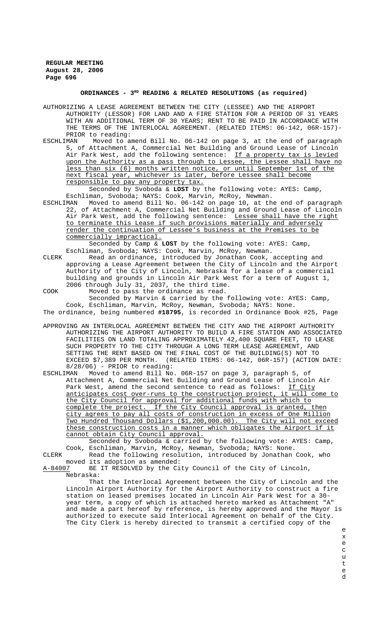#### **ORDINANCES - 3RD READING & RELATED RESOLUTIONS (as required)**

AUTHORIZING A LEASE AGREEMENT BETWEEN THE CITY (LESSEE) AND THE AIRPORT AUTHORITY (LESSOR) FOR LAND AND A FIRE STATION FOR A PERIOD OF 31 YEARS WITH AN ADDITIONAL TERM OF 30 YEARS; RENT TO BE PAID IN ACCORDANCE WITH THE TERMS OF THE INTERLOCAL AGREEMENT. (RELATED ITEMS: 06-142, 06R-157)- PRIOR to reading:<br>ESCHLIMAN Moved to a

Moved to amend Bill No. 06-142 on page 3, at the end of paragraph 5, of Attachment A, Commercial Net Building and Ground Lease of Lincoln Air Park West, add the following sentence: If a property tax is levied upon the Authority as a pass through to Lessee, the Lessee shall have no less than six (6) months written notice, or until September 1st of the next fiscal year, whichever is later, before Lessee shall become responsible to pay any property tax.

Seconded by Svoboda & **LOST** by the following vote: AYES: Camp, Eschliman, Svoboda; NAYS: Cook, Marvin, McRoy, Newman.<br>ESCHLIMAN Moved to amend Bill No. 06-142 on page 10, at th

Moved to amend Bill No. 06-142 on page 10, at the end of paragraph 22, of Attachment A, Commercial Net Building and Ground Lease of Lincoln Air Park West, add the following sentence: Lessee shall have the right to terminate this Lease if such provisions materially and adversely render the continuation of Lessee's business at the Premises to be commercially impractical.

Seconded by Camp & **LOST** by the following vote: AYES: Camp, Eschliman, Svoboda; NAYS: Cook, Marvin, McRoy, Newman.

- CLERK Read an ordinance, introduced by Jonathan Cook, accepting and approving a Lease Agreement between the City of Lincoln and the Airport Authority of the City of Lincoln, Nebraska for a lease of a commercial building and grounds in Lincoln Air Park West for a term of August 1, 2006 through July 31, 2037, the third time.
- COOK Moved to pass the ordinance as read.

Seconded by Marvin & carried by the following vote: AYES: Camp, Cook, Eschliman, Marvin, McRoy, Newman, Svoboda; NAYS: None. The ordinance, being numbered **#18795**, is recorded in Ordinance Book #25, Page

- APPROVING AN INTERLOCAL AGREEMENT BETWEEN THE CITY AND THE AIRPORT AUTHORITY AUTHORIZING THE AIRPORT AUTHORITY TO BUILD A FIRE STATION AND ASSOCIATED FACILITIES ON LAND TOTALING APPROXIMATELY 42,400 SQUARE FEET, TO LEASE SUCH PROPERTY TO THE CITY THROUGH A LONG TERM LEASE AGREEMENT, AND SETTING THE RENT BASED ON THE FINAL COST OF THE BUILDING(S) NOT TO EXCEED \$7,389 PER MONTH. (RELATED ITEMS: 06-142, 06R-157) (ACTION DATE: 8/28/06) - PRIOR to reading:<br>ESCHLIMAN Moved to amend Bill No
- ESCHLIMAN Moved to amend Bill No. 06R-157 on page 3, paragraph 5, of Attachment A, Commercial Net Building and Ground Lease of Lincoln Air Park West, amend the second sentence to read as follows: If City anticipates cost over-runs to the construction project, it will come to the City Council for approval for additional funds with which to complete the project. If the City Council approval is granted, then city agrees to pay all costs of construction in excess of One Million Two Hundred Thousand Dollars (\$1,200,000.00). The City will not exceed these construction costs in a manner which obligates the Airport if it cannot obtain City Council approval.

Seconded by Svoboda & carried by the following vote: AYES: Camp, Cook, Eschliman, Marvin, McRoy, Newman, Svoboda; NAYS: None.

CLERK Read the following resolution, introduced by Jonathan Cook, who moved its adoption as amended:<br>A-84007 BE IT RESOLVED by the Ci

BE IT RESOLVED by the City Council of the City of Lincoln, Nebraska:

That the Interlocal Agreement between the City of Lincoln and the Lincoln Airport Authority for the Airport Authority to construct a fire station on leased premises located in Lincoln Air Park West for a 30 year term, a copy of which is attached hereto marked as Attachment "A" and made a part hereof by reference, is hereby approved and the Mayor is authorized to execute said Interlocal Agreement on behalf of the City. The City Clerk is hereby directed to transmit a certified copy of the

- e x e c u t
- e d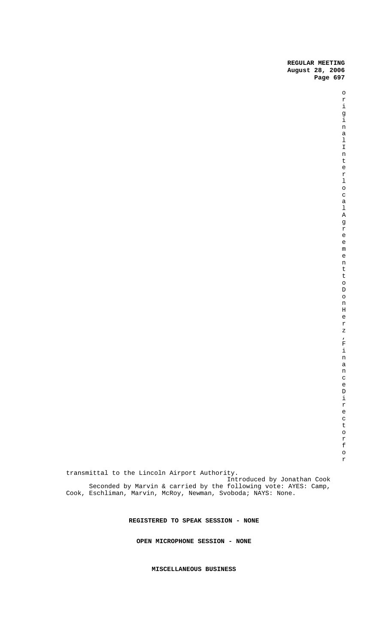Seconded by Marvin & carried by the following vote: AYES: Camp, Cook, Eschliman, Marvin, McRoy, Newman, Svoboda; NAYS: None.

**REGISTERED TO SPEAK SESSION - NONE**

**OPEN MICROPHONE SESSION - NONE**

**MISCELLANEOUS BUSINESS**

transmittal to the Lincoln Airport Authority.

Introduced by Jonathan Cook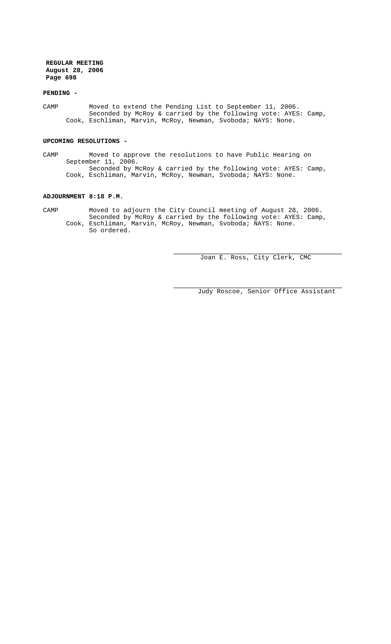### **PENDING -**

CAMP Moved to extend the Pending List to September 11, 2006. Seconded by McRoy & carried by the following vote: AYES: Camp, Cook, Eschliman, Marvin, McRoy, Newman, Svoboda; NAYS: None.

#### **UPCOMING RESOLUTIONS -**

CAMP Moved to approve the resolutions to have Public Hearing on September 11, 2006. Seconded by McRoy & carried by the following vote: AYES: Camp, Cook, Eschliman, Marvin, McRoy, Newman, Svoboda; NAYS: None.

# **ADJOURNMENT 8:18 P.M.**

CAMP Moved to adjourn the City Council meeting of August 28, 2006. Seconded by McRoy & carried by the following vote: AYES: Camp, Cook, Eschliman, Marvin, McRoy, Newman, Svoboda; NAYS: None. So ordered.

Joan E. Ross, City Clerk, CMC

Judy Roscoe, Senior Office Assistant